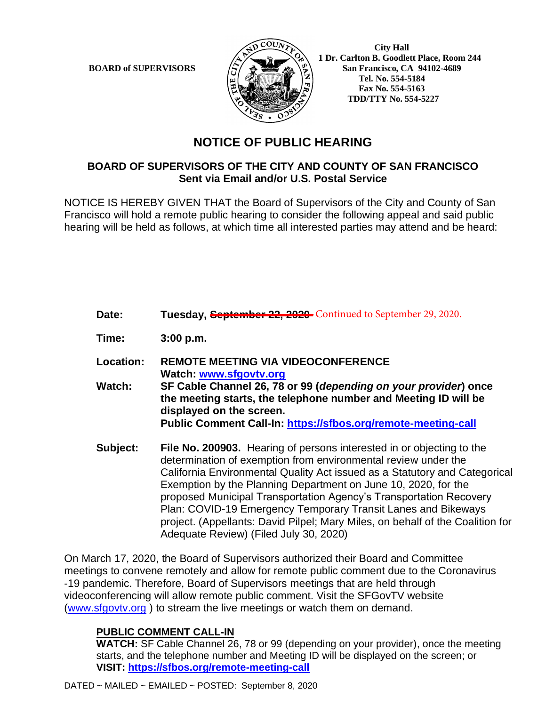

 **City Hall 1 Dr. Carlton B. Goodlett Place, Room 244 BOARD of SUPERVISORS**  $\left(\frac{S}{I}\right)$   $\oplus$   $\left(\frac{S}{I}\right)$  San Francisco, CA 94102-4689  **Tel. No. 554-5184 Fax No. 554-5163 TDD/TTY No. 554-5227**

## **NOTICE OF PUBLIC HEARING**

## **BOARD OF SUPERVISORS OF THE CITY AND COUNTY OF SAN FRANCISCO Sent via Email and/or U.S. Postal Service**

NOTICE IS HEREBY GIVEN THAT the Board of Supervisors of the City and County of San Francisco will hold a remote public hearing to consider the following appeal and said public hearing will be held as follows, at which time all interested parties may attend and be heard:

| Date:         | Tuesday, September 22, 2020 Continued to September 29, 2020.                                                                                                                                                                                                                                                                                      |
|---------------|---------------------------------------------------------------------------------------------------------------------------------------------------------------------------------------------------------------------------------------------------------------------------------------------------------------------------------------------------|
| Time:         | 3:00 p.m.                                                                                                                                                                                                                                                                                                                                         |
| Location:     | <b>REMOTE MEETING VIA VIDEOCONFERENCE</b><br>Watch: www.sfgovtv.org                                                                                                                                                                                                                                                                               |
| <b>Watch:</b> | SF Cable Channel 26, 78 or 99 (depending on your provider) once<br>the meeting starts, the telephone number and Meeting ID will be<br>displayed on the screen.                                                                                                                                                                                    |
|               | Public Comment Call-In: https://sfbos.org/remote-meeting-call                                                                                                                                                                                                                                                                                     |
| Subject:      | <b>File No. 200903.</b> Hearing of persons interested in or objecting to the<br>determination of exemption from environmental review under the<br>California Environmental Quality Act issued as a Statutory and Categorical<br>$\blacksquare$ . The contract of $\blacksquare$ . The contract of $\blacksquare$ . The contract of $\blacksquare$ |

Exemption by the Planning Department on June 10, 2020, for the proposed Municipal Transportation Agency's Transportation Recovery Plan: COVID-19 Emergency Temporary Transit Lanes and Bikeways project. (Appellants: David Pilpel; Mary Miles, on behalf of the Coalition for Adequate Review) (Filed July 30, 2020)

On March 17, 2020, the Board of Supervisors authorized their Board and Committee meetings to convene remotely and allow for remote public comment due to the Coronavirus -19 pandemic. Therefore, Board of Supervisors meetings that are held through videoconferencing will allow remote public comment. Visit the SFGovTV website (www.sfgovtv.org ) to stream the live meetings or watch them on demand.

## **PUBLIC COMMENT CALL-IN**

**WATCH:** SF Cable Channel 26, 78 or 99 (depending on your provider), once the meeting starts, and the telephone number and Meeting ID will be displayed on the screen; or **VISIT: https://sfbos.org/remote-meeting-call**